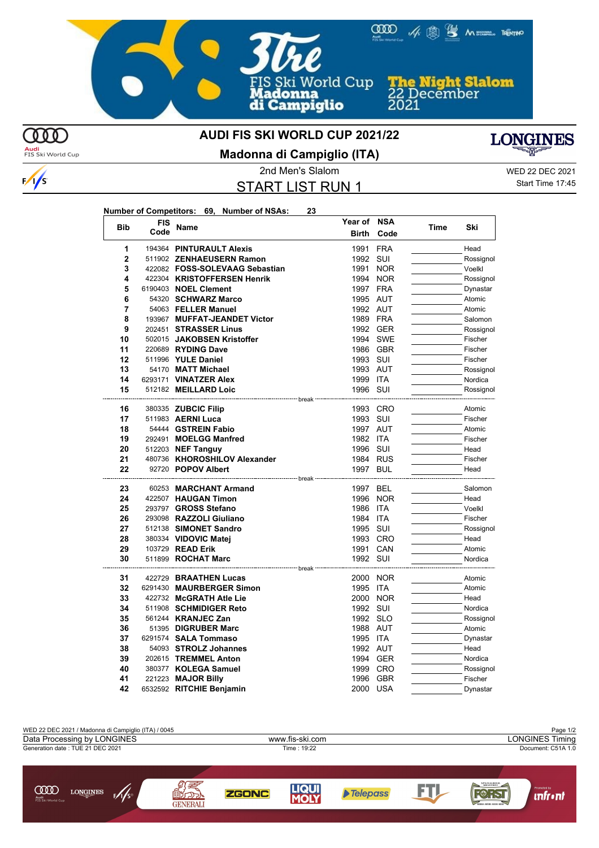

## **AUDI FIS SKI WORLD CUP 2021/22**



 $\frac{1}{s}$ 

## **Madonna di Campiglio (ITA)**

START LIST RUN 1

2nd Men's Slalom WED 22 DEC 2021 Start Time 17:45

**LONGINES** 

| Number of Competitors: 69, Number of NSAs: |  | 23 |
|--------------------------------------------|--|----|
| <b>FIA</b>                                 |  |    |

| <b>Bib</b>     | <b>FIS</b> | <b>Name</b>                                                  | Year of NSA  |            |      | Ski       |
|----------------|------------|--------------------------------------------------------------|--------------|------------|------|-----------|
|                | Code       |                                                              | <b>Birth</b> | Code       | Time |           |
| 1              |            | 194364 PINTURAULT Alexis                                     | 1991         | <b>FRA</b> |      | Head      |
| $\overline{2}$ |            | 511902 ZENHAEUSERN Ramon                                     | 1992         | SUI        |      | Rossignol |
| 3              |            | 422082 FOSS-SOLEVAAG Sebastian                               | 1991         | <b>NOR</b> |      | Voelkl    |
| 4              |            | 422304 KRISTOFFERSEN Henrik                                  | 1994         | <b>NOR</b> |      | Rossignol |
| 5              |            | 6190403 NOEL Clement                                         | 1997 FRA     |            |      | Dynastar  |
| 6              |            | 54320 SCHWARZ Marco                                          | 1995 AUT     |            |      | Atomic    |
| 7              |            | 54063 FELLER Manuel                                          | 1992 AUT     |            |      | Atomic    |
| 8              |            | 193967 MUFFAT-JEANDET Victor                                 | 1989 FRA     |            |      | Salomon   |
| 9              |            | 202451 STRASSER Linus                                        |              | 1992 GER   |      | Rossignol |
| 10             |            | 502015 JAKOBSEN Kristoffer                                   |              | 1994 SWE   |      | Fischer   |
| 11             |            | 220689 RYDING Dave                                           |              | 1986 GBR   |      | Fischer   |
| 12             |            | 511996 YULE Daniel                                           | 1993 SUI     |            |      | Fischer   |
| 13             |            | 54170 MATT Michael                                           | 1993 AUT     |            |      | Rossignol |
| 14             |            | 6293171 VINATZER Alex                                        | 1999 ITA     |            |      | Nordica   |
| 15             |            | 512182 MEILLARD Loic<br>---------------------- break         | 1996 SUI     |            |      | Rossignol |
| 16             |            | 380335 ZUBCIC Filip                                          |              | 1993 CRO   |      | Atomic    |
| 17             |            | 511983 AERNI Luca                                            | 1993 SUI     |            |      | Fischer   |
| 18             |            | 54444 GSTREIN Fabio                                          | 1997 AUT     |            |      | Atomic    |
| 19             |            | 292491 MOELGG Manfred                                        | 1982 ITA     |            |      | Fischer   |
| 20             |            | 512203 NEF Tanguy                                            | 1996 SUI     |            |      | Head      |
| 21             |            | 480736 KHOROSHILOV Alexander                                 | 1984 RUS     |            |      | Fischer   |
| 22             |            | 92720 POPOV Albert                                           | 1997 BUL     |            |      | Head      |
| 23             |            | -------------- break --------------<br>60253 MARCHANT Armand | 1997 BEL     |            |      | Salomon   |
| 24             |            | 422507 HAUGAN Timon                                          | 1996         | <b>NOR</b> |      | Head      |
| 25             |            | 293797 GROSS Stefano                                         | 1986         | <b>ITA</b> |      | Voelkl    |
| 26             |            | 293098 RAZZOLI Giuliano                                      | 1984         | ITA        |      | Fischer   |
| 27             |            | 512138 SIMONET Sandro                                        | 1995         | SUI        |      | Rossignol |
| 28             |            | 380334 VIDOVIC Matej                                         |              | 1993 CRO   |      | Head      |
| 29             |            | 103729 READ Erik                                             | 1991 CAN     |            |      | Atomic    |
| 30             |            | 511899 ROCHAT Marc                                           | 1992 SUI     |            |      | Nordica   |
| 31             |            | - break<br>422729 BRAATHEN Lucas                             |              | 2000 NOR   |      | Atomic    |
| 32             |            | 6291430 MAURBERGER Simon                                     | 1995         | ITA        |      | Atomic    |
| 33             |            | 422732 McGRATH Atle Lie                                      |              | 2000 NOR   |      | Head      |
| 34             |            | 511908 SCHMIDIGER Reto                                       | 1992 SUI     |            |      | Nordica   |
| 35             |            | 561244 KRANJEC Zan                                           | 1992 SLO     |            |      | Rossignol |
| 36             |            | 51395 DIGRUBER Marc                                          | 1988 AUT     |            |      | Atomic    |
| 37             |            | 6291574 SALA Tommaso                                         | 1995 ITA     |            |      | Dynastar  |
| 38             |            | 54093 STROLZ Johannes                                        | 1992 AUT     |            |      | Head      |
| 39             |            | 202615 TREMMEL Anton                                         |              | 1994 GER   |      | Nordica   |
| 40             |            | 380377 KOLEGA Samuel                                         | 1999         | CRO        |      | Rossignol |
| 41             |            | 221223 MAJOR Billy                                           | 1996         | <b>GBR</b> |      | Fischer   |
| 42             |            | 6532592 RITCHIE Benjamin                                     | 2000 USA     |            |      | Dynastar  |
|                |            |                                                              |              |            |      |           |